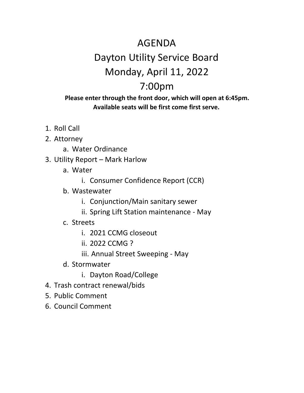## AGENDA Dayton Utility Service Board Monday, April 11, 2022 7:00pm

#### **Please enter through the front door, which will open at 6:45pm. Available seats will be first come first serve.**

- 1. Roll Call
- 2. Attorney
	- a. Water Ordinance
- 3. Utility Report Mark Harlow
	- a. Water
		- i. Consumer Confidence Report (CCR)
	- b. Wastewater
		- i. Conjunction/Main sanitary sewer
		- ii. Spring Lift Station maintenance May
	- c. Streets
		- i. 2021 CCMG closeout
		- ii. 2022 CCMG ?
		- iii. Annual Street Sweeping May
	- d. Stormwater
		- i. Dayton Road/College
- 4. Trash contract renewal/bids
- 5. Public Comment
- 6. Council Comment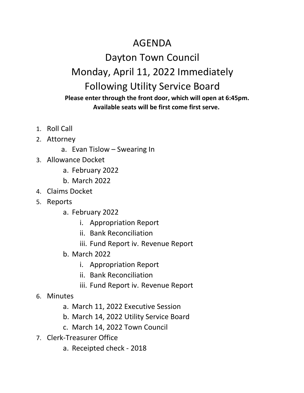### AGENDA

# Dayton Town Council Monday, April 11, 2022 Immediately Following Utility Service Board

### **Please enter through the front door, which will open at 6:45pm. Available seats will be first come first serve.**

- 1. Roll Call
- 2. Attorney
	- a. Evan Tislow Swearing In
- 3. Allowance Docket
	- a. February 2022
	- b. March 2022
- 4. Claims Docket
- 5. Reports
	- a. February 2022
		- i. Appropriation Report
		- ii. Bank Reconciliation
		- iii. Fund Report iv. Revenue Report
	- b. March 2022
		- i. Appropriation Report
		- ii. Bank Reconciliation
		- iii. Fund Report iv. Revenue Report
- 6. Minutes
	- a. March 11, 2022 Executive Session
	- b. March 14, 2022 Utility Service Board
	- c. March 14, 2022 Town Council
- 7. Clerk-Treasurer Office
	- a. Receipted check 2018